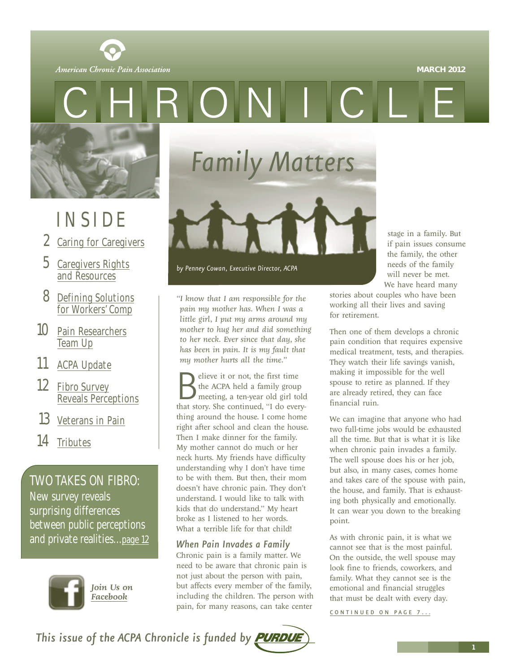#### **MARCH 2012**

<span id="page-0-0"></span>American Chronic Pain Association

 $O N$ 



## INSIDE

- 2 [Caring for Caregivers](#page-1-0)
- 5 [Caregivers Rights](#page-4-0) and Resources
- 8 [Defining Solutions](#page-7-0) for Workers' Comp
- 10 [Pain Researchers](#page-9-0) Team Up
- 11 [ACPA Update](#page-10-0)
- 12 Fibro Survey [Reveals Perceptions](#page-11-0)
- 13 [Veterans in Pain](#page-12-0)
- 14 [Tributes](#page--1-0)

TWO TAKES ON FIBRO: New survey reveals

surprising differences between public perceptions and private realities..[.page 12](#page-11-0)



*Join Us on*

*Family Matters*



*by Penney Cowan, Executive Director, ACPA*

*"I know that I am responsible for the pain my mother has. When I was a little girl, I put my arms around my mother to hug her and did something to her neck. Ever since that day, she has been in pain. It is my fault that my mother hurts all the time."* 

Selieve it or not, the first time<br>the ACPA held a family group<br>meeting, a ten-year old girl told<br>that story. She continued, "I do everythe ACPA held a family group meeting, a ten-year old girl told thing around the house. I come home right after school and clean the house. Then I make dinner for the family. My mother cannot do much or her neck hurts. My friends have difficulty understanding why I don't have time to be with them. But then, their mom doesn't have chronic pain. They don't understand. I would like to talk with kids that do understand." My heart broke as I listened to her words. What a terrible life for that child!

#### *When Pain Invades a Family*

Chronic pain is a family matter. We need to be aware that chronic pain is not just about the person with pain, but affects every member of the family, including the children. The person with pain, for many reasons, can take center

stage in a family. But if pain issues consume the family, the other needs of the family will never be met. We have heard many

stories about couples who have been working all their lives and saving for retirement.

Then one of them develops a chronic pain condition that requires expensive medical treatment, tests, and therapies. They watch their life savings vanish, making it impossible for the well spouse to retire as planned. If they are already retired, they can face financial ruin.

We can imagine that anyone who had two full-time jobs would be exhausted all the time. But that is what it is like when chronic pain invades a family. The well spouse does his or her job, but also, in many cases, comes home and takes care of the spouse with pain, the house, and family. That is exhausting both physically and emotionally. It can wear you down to the breaking point.

As with chronic pain, it is what we cannot see that is the most painful. On the outside, the well spouse may look fine to friends, coworkers, and family. What they cannot see is the emotional and financial struggles that must be dealt with every day.

[CONTINUED ON PAGE 7 ...](#page-6-0)

This issue of the ACPA Chronicle is funded by **PURDUE**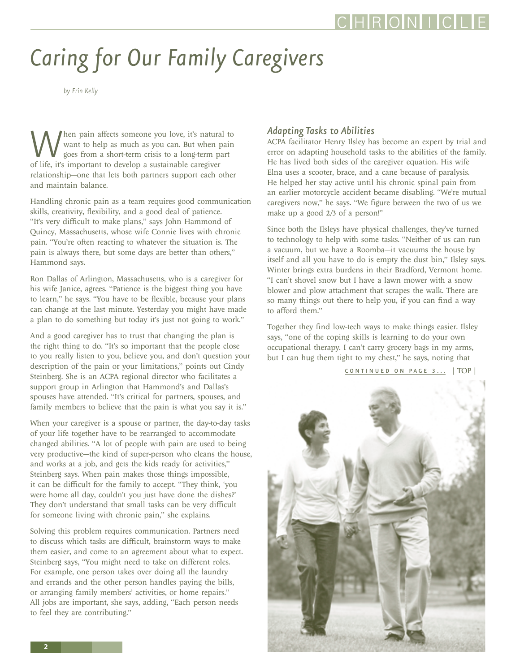# <span id="page-1-0"></span>*Caring for Our Family Caregivers*

*by Erin Kelly*

hen pain affects someone you love, it's natural to want to help as much as you can. But when pain goes from a short-term crisis to a long-term part of life, it's important to develop a sustainable caregiver relationship—one that lets both partners support each other and maintain balance.

Handling chronic pain as a team requires good communication skills, creativity, flexibility, and a good deal of patience. "It's very difficult to make plans," says John Hammond of Quincy, Massachusetts, whose wife Connie lives with chronic pain. "You're often reacting to whatever the situation is. The pain is always there, but some days are better than others," Hammond says.

Ron Dallas of Arlington, Massachusetts, who is a caregiver for his wife Janice, agrees. "Patience is the biggest thing you have to learn," he says. "You have to be flexible, because your plans can change at the last minute. Yesterday you might have made a plan to do something but today it's just not going to work."

And a good caregiver has to trust that changing the plan is the right thing to do. "It's so important that the people close to you really listen to you, believe you, and don't question your description of the pain or your limitations," points out Cindy Steinberg. She is an ACPA regional director who facilitates a support group in Arlington that Hammond's and Dallas's spouses have attended. "It's critical for partners, spouses, and family members to believe that the pain is what you say it is."

When your caregiver is a spouse or partner, the day-to-day tasks of your life together have to be rearranged to accommodate changed abilities. "A lot of people with pain are used to being very productive—the kind of super-person who cleans the house, and works at a job, and gets the kids ready for activities," Steinberg says. When pain makes those things impossible, it can be difficult for the family to accept. "They think, 'you were home all day, couldn't you just have done the dishes?' They don't understand that small tasks can be very difficult for someone living with chronic pain," she explains.

Solving this problem requires communication. Partners need to discuss which tasks are difficult, brainstorm ways to make them easier, and come to an agreement about what to expect. Steinberg says, "You might need to take on different roles. For example, one person takes over doing all the laundry and errands and the other person handles paying the bills, or arranging family members' activities, or home repairs." All jobs are important, she says, adding, "Each person needs to feel they are contributing."

#### *Adapting Tasks to Abilities*

ACPA facilitator Henry Ilsley has become an expert by trial and error on adapting household tasks to the abilities of the family. He has lived both sides of the caregiver equation. His wife Elna uses a scooter, brace, and a cane because of paralysis. He helped her stay active until his chronic spinal pain from an earlier motorcycle accident became disabling. "We're mutual caregivers now," he says. "We figure between the two of us we make up a good 2/3 of a person!"

Since both the Ilsleys have physical challenges, they've turned to technology to help with some tasks. "Neither of us can run a vacuum, but we have a Roomba—it vacuums the house by itself and all you have to do is empty the dust bin," Ilsley says. Winter brings extra burdens in their Bradford, Vermont home. "I can't shovel snow but I have a lawn mower with a snow blower and plow attachment that scrapes the walk. There are so many things out there to help you, if you can find a way to afford them."

Together they find low-tech ways to make things easier. Ilsley says, "one of the coping skills is learning to do your own occupational therapy. I can't carry grocery bags in my arms, but I can hug them tight to my chest," he says, noting that

[CONTINUED ON PAGE 3...](#page-2-0) [| TOP |](#page-0-0)

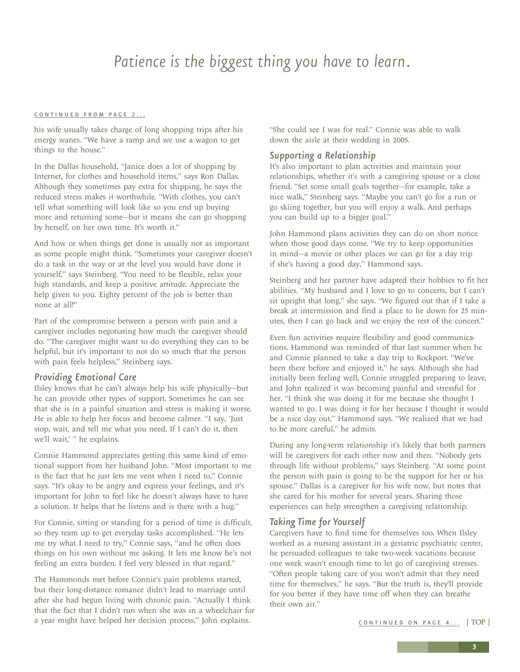### *Patience is the biggest thing you have to learn.*

#### <span id="page-2-0"></span>[CONTINUED FROM PAGE 2...](#page-1-0)

his wife usually takes charge of long shopping trips after his energy wanes. "We have a ramp and we use a wagon to get things to the house."

In the Dallas household, "Janice does a lot of shopping by Internet, for clothes and household items," says Ron Dallas. Although they sometimes pay extra for shipping, he says the reduced stress makes it worthwhile. "With clothes, you can't tell what something will look like so you end up buying more and returning some—but it means she can go shopping by herself, on her own time. It's worth it."

And how or when things get done is usually not as important as some people might think. "Sometimes your caregiver doesn't do a task in the way or at the level you would have done it yourself," says Steinberg. "You need to be flexible, relax your high standards, and keep a positive attitude. Appreciate the help given to you. Eighty percent of the job is better than none at all!"

Part of the compromise between a person with pain and a caregiver includes negotiating how much the caregiver should do. "The caregiver might want to do everything they can to be helpful, but it's important to not do so much that the person with pain feels helpless," Steinberg says.

#### *Providing Emotional Care*

Ilsley knows that he can't always help his wife physically—but he can provide other types of support. Sometimes he can see that she is in a painful situation and stress is making it worse. He is able to help her focus and become calmer. "I say, 'Just stop, wait, and tell me what you need. If I can't do it, then we'll wait,' " he explains.

Connie Hammond appreciates getting this same kind of emotional support from her husband John. "Most important to me is the fact that he just lets me vent when I need to," Connie says. "It's okay to be angry and express your feelings, and it's important for John to feel like he doesn't always have to have a solution. It helps that he listens and is there with a hug."

For Connie, sitting or standing for a period of time is difficult, so they team up to get everyday tasks accomplished. "He lets me try what I need to try," Connie says, "and he often does things on his own without me asking. It lets me know he's not feeling an extra burden. I feel very blessed in that regard."

The Hammonds met before Connie's pain problems started, but their long-distance romance didn't lead to marriage until after she had begun living with chronic pain. "Actually I think that the fact that I didn't run when she was in a wheelchair for a year might have helped her decision process," John explains.

"She could see I was for real." Connie was able to walk down the aisle at their wedding in 2005.

#### *Supporting a Relationship*

It's also important to plan activities and maintain your relationships, whether it's with a caregiving spouse or a close friend. "Set some small goals together—for example, take a nice walk," Steinberg says. "Maybe you can't go for a run or go skiing together, but you will enjoy a walk. And perhaps you can build up to a bigger goal."

John Hammond plans activities they can do on short notice when those good days come. "We try to keep opportunities in mind—a movie or other places we can go for a day trip if she's having a good day," Hammond says.

Steinberg and her partner have adapted their hobbies to fit her abilities. "My husband and I love to go to concerts, but I can't sit upright that long," she says. "We figured out that if I take a break at intermission and find a place to lie down for 25 minutes, then I can go back and we enjoy the rest of the concert."

Even fun activities require flexibility and good communications. Hammond was reminded of that last summer when he and Connie planned to take a day trip to Rockport. "We've been there before and enjoyed it," he says. Although she had initially been feeling well, Connie struggled preparing to leave, and John realized it was becoming painful and stressful for her. "I think she was doing it for me because she thought I wanted to go. I was doing it for her because I thought it would be a nice day out," Hammond says. "We realized that we had to be more careful," he admits.

During any long-term relationship it's likely that both partners will be caregivers for each other now and then. "Nobody gets through life without problems," says Steinberg. "At some point the person with pain is going to be the support for her or his spouse." Dallas is a caregiver for his wife now, but notes that she cared for his mother for several years. Sharing those experiences can help strengthen a caregiving relationship.

#### *Taking Time for Yourself*

Caregivers have to find time for themselves too. When Ilsley worked as a nursing assistant in a geriatric psychiatric center, he persuaded colleagues to take two-week vacations because one week wasn't enough time to let go of caregiving stresses. "Often people taking care of you won't admit that they need time for themselves," he says. "But the truth is, they'll provide for you better if they have time off when they can breathe their own air."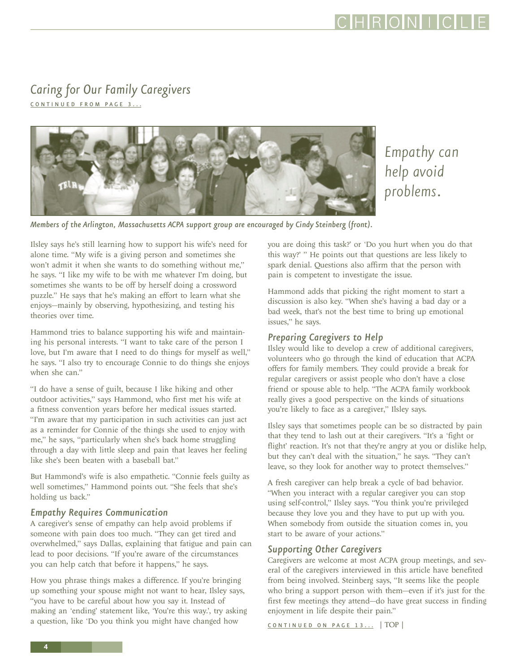#### <span id="page-3-0"></span>*Caring for Our Family Caregivers*  [CONTINUED FROM PAGE 3 ...](#page-2-0)



*Empathy can help avoid problems.*

*Members of the Arlington, Massachusetts ACPA support group are encouraged by Cindy Steinberg (front).*

Ilsley says he's still learning how to support his wife's need for alone time. "My wife is a giving person and sometimes she won't admit it when she wants to do something without me," he says. "I like my wife to be with me whatever I'm doing, but sometimes she wants to be off by herself doing a crossword puzzle." He says that he's making an effort to learn what she enjoys—mainly by observing, hypothesizing, and testing his theories over time.

Hammond tries to balance supporting his wife and maintaining his personal interests. "I want to take care of the person I love, but I'm aware that I need to do things for myself as well," he says. "I also try to encourage Connie to do things she enjoys when she can."

"I do have a sense of guilt, because I like hiking and other outdoor activities," says Hammond, who first met his wife at a fitness convention years before her medical issues started. "I'm aware that my participation in such activities can just act as a reminder for Connie of the things she used to enjoy with me," he says, "particularly when she's back home struggling through a day with little sleep and pain that leaves her feeling like she's been beaten with a baseball bat."

But Hammond's wife is also empathetic. "Connie feels guilty as well sometimes," Hammond points out. "She feels that she's holding us back."

#### *Empathy Requires Communication*

A caregiver's sense of empathy can help avoid problems if someone with pain does too much. "They can get tired and overwhelmed," says Dallas, explaining that fatigue and pain can lead to poor decisions. "If you're aware of the circumstances you can help catch that before it happens," he says.

How you phrase things makes a difference. If you're bringing up something your spouse might not want to hear, Ilsley says, "you have to be careful about how you say it. Instead of making an 'ending' statement like, 'You're this way.', try asking a question, like 'Do you think you might have changed how

you are doing this task?' or 'Do you hurt when you do that this way?' " He points out that questions are less likely to spark denial. Questions also affirm that the person with pain is competent to investigate the issue.

Hammond adds that picking the right moment to start a discussion is also key. "When she's having a bad day or a bad week, that's not the best time to bring up emotional issues," he says.

#### *Preparing Caregivers to Help*

Ilsley would like to develop a crew of additional caregivers, volunteers who go through the kind of education that ACPA offers for family members. They could provide a break for regular caregivers or assist people who don't have a close friend or spouse able to help. "The ACPA family workbook really gives a good perspective on the kinds of situations you're likely to face as a caregiver," Ilsley says.

Ilsley says that sometimes people can be so distracted by pain that they tend to lash out at their caregivers. "It's a 'fight or flight' reaction. It's not that they're angry at you or dislike help, but they can't deal with the situation," he says. "They can't leave, so they look for another way to protect themselves."

A fresh caregiver can help break a cycle of bad behavior. "When you interact with a regular caregiver you can stop using self-control," Ilsley says. "You think you're privileged because they love you and they have to put up with you. When somebody from outside the situation comes in, you start to be aware of your actions."

#### *Supporting Other Caregivers*

Caregivers are welcome at most ACPA group meetings, and several of the caregivers interviewed in this article have benefited from being involved. Steinberg says, "It seems like the people who bring a support person with them—even if it's just for the first few meetings they attend—do have great success in finding enjoyment in life despite their pain."

CONTINUED ON PAGE 13... [| TOP |](#page-0-0)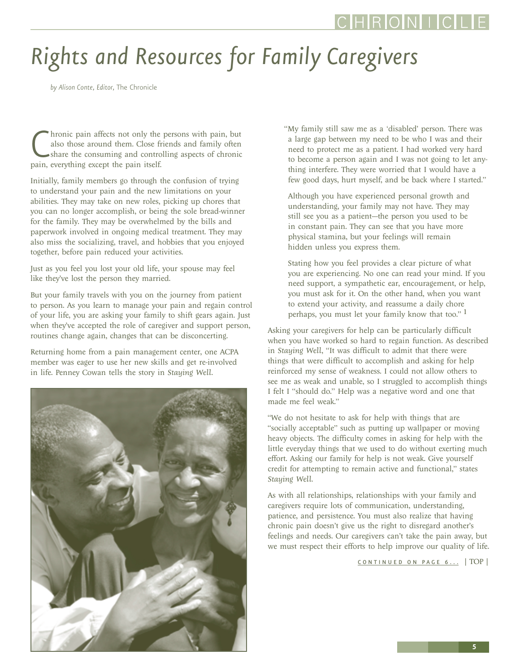# <span id="page-4-0"></span>*Rights and Resources for Family Caregivers*

*by Alison Conte, Editor,* The Chronicle

hronic pain affects not only the<br>also those around them. Close fi<br>share the consuming and contro<br>pain, everything except the pain itself. hronic pain affects not only the persons with pain, but also those around them. Close friends and family often share the consuming and controlling aspects of chronic

Initially, family members go through the confusion of trying to understand your pain and the new limitations on your abilities. They may take on new roles, picking up chores that you can no longer accomplish, or being the sole bread-winner for the family. They may be overwhelmed by the bills and paperwork involved in ongoing medical treatment. They may also miss the socializing, travel, and hobbies that you enjoyed together, before pain reduced your activities.

Just as you feel you lost your old life, your spouse may feel like they've lost the person they married.

But your family travels with you on the journey from patient to person. As you learn to manage your pain and regain control of your life, you are asking your family to shift gears again. Just when they've accepted the role of caregiver and support person, routines change again, changes that can be disconcerting.

Returning home from a pain management center, one ACPA member was eager to use her new skills and get re-involved in life. Penney Cowan tells the story in *Staying Well*.



"My family still saw me as a 'disabled' person. There was a large gap between my need to be who I was and their need to protect me as a patient. I had worked very hard to become a person again and I was not going to let anything interfere. They were worried that I would have a few good days, hurt myself, and be back where I started."

Although you have experienced personal growth and understanding, your family may not have. They may still see you as a patient---the person you used to be in constant pain. They can see that you have more physical stamina, but your feelings will remain hidden unless you express them.

Stating how you feel provides a clear picture of what you are experiencing. No one can read your mind. If you need support, a sympathetic ear, encouragement, or help, you must ask for it. On the other hand, when you want to extend your activity, and reassume a daily chore perhaps, you must let your family know that too." 1

Asking your caregivers for help can be particularly difficult when you have worked so hard to regain function. As described in *Staying Well*, "It was difficult to admit that there were things that were difficult to accomplish and asking for help reinforced my sense of weakness. I could not allow others to see me as weak and unable, so I struggled to accomplish things I felt I "should do." Help was a negative word and one that made me feel weak."

"We do not hesitate to ask for help with things that are "socially acceptable" such as putting up wallpaper or moving heavy objects. The difficulty comes in asking for help with the little everyday things that we used to do without exerting much effort. Asking our family for help is not weak. Give yourself credit for attempting to remain active and functional," states *Staying Well*.

As with all relationships, relationships with your family and caregivers require lots of communication, understanding, patience, and persistence. You must also realize that having chronic pain doesn't give us the right to disregard another's feelings and needs. Our caregivers can't take the pain away, but we must respect their efforts to help improve our quality of life.

CONTINUED ON PAGE 6... [| TOP |](#page-0-0)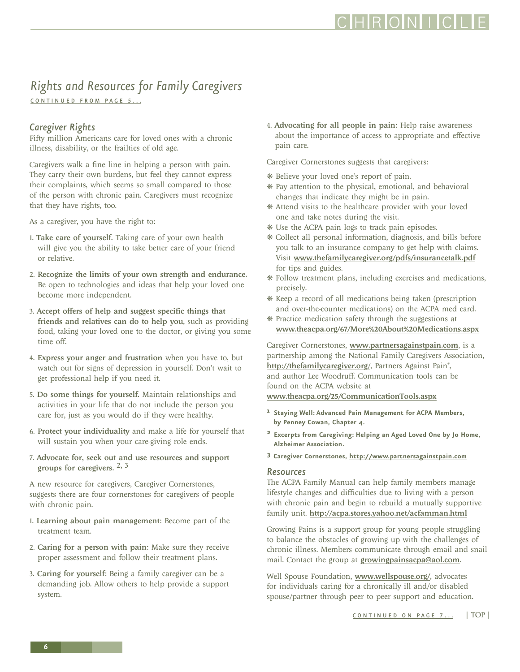### RONLL

## <span id="page-5-0"></span>*Rights and Resources for Family Caregivers*

CONTINUED FROM PAGE 5...

### *Caregiver Rights*

Fifty million Americans care for loved ones with a chronic illness, disability, or the frailties of old age.

Caregivers walk a fine line in helping a person with pain. They carry their own burdens, but feel they cannot express their complaints, which seems so small compared to those of the person with chronic pain. Caregivers must recognize that they have rights, too.

As a caregiver, you have the right to:

- 1. Take care of yourself. Taking care of your own health will give you the ability to take better care of your friend or relative.
- 2. Recognize the limits of your own strength and endurance. Be open to technologies and ideas that help your loved one become more independent.
- 3. Accept offers of help and suggest specific things that friends and relatives can do to help you, such as providing food, taking your loved one to the doctor, or giving you some time off.
- 4. Express your anger and frustration when you have to, but watch out for signs of depression in yourself. Don't wait to get professional help if you need it.
- 5. Do some things for yourself. Maintain relationships and activities in your life that do not include the person you care for, just as you would do if they were healthy.
- 6. Protect your individuality and make a life for yourself that will sustain you when your care-giving role ends.
- 7. Advocate for, seek out and use resources and support groups for caregivers.  $2, 3$

A new resource for caregivers, Caregiver Cornerstones, suggests there are four cornerstones for caregivers of people with chronic pain.

- 1. Learning about pain management: Become part of the treatment team.
- 2. Caring for a person with pain: Make sure they receive proper assessment and follow their treatment plans.
- 3. Caring for yourself: Being a family caregiver can be a demanding job. Allow others to help provide a support system.

4. Advocating for all people in pain: Help raise awareness about the importance of access to appropriate and effective pain care.

Caregiver Cornerstones suggests that caregivers:

- ❋ Believe your loved one's report of pain.
- ❋ Pay attention to the physical, emotional, and behavioral changes that indicate they might be in pain.
- ❋ Attend visits to the healthcare provider with your loved one and take notes during the visit.
- ❋ Use the ACPA pain logs to track pain episodes.
- ❋ Collect all personal information, diagnosis, and bills before you talk to an insurance company to get help with claims. Visit www.thefamilycaregiver.org/pdfs/insurancetalk.pdf for tips and guides.
- ❋ Follow treatment plans, including exercises and medications, precisely.
- ❋ Keep a record of all medications being taken (prescription and over-the-counter medications) on the ACPA med card.
- ❋ Practice medication safety through the suggestions at www.theacpa.org/67/More%20About%20Medications.aspx

Caregiver Cornerstones, www.partnersagainstpain.com, is a partnership among the National Family Caregivers Association, http://thefamilycaregiver.org/, Partners Against Pain<sup>®</sup>, and author Lee Woodruff. Communication tools can be found on the ACPA website at www.theacpa.org/25/CommunicationTools.aspx

- **1 Staying Well: Advanced Pain Management for ACPA Members, by Penney Cowan, Chapter 4.**
- **2 Excerpts from Caregiving: Helping an Aged Loved One by Jo Home, Alzheimer Association.**
- **3 Caregiver Cornerstones, http://www.partnersagainstpain.com**

#### *Resources*

The ACPA Family Manual can help family members manage lifestyle changes and difficulties due to living with a person with chronic pain and begin to rebuild a mutually supportive family unit. http://acpa.stores.yahoo.net/acfamman.html

Growing Pains is a support group for young people struggling to balance the obstacles of growing up with the challenges of chronic illness. Members communicate through email and snail mail. Contact the group at growingpainsacpa@aol.com.

Well Spouse Foundation, www.wellspouse.org/, advocates for individuals caring for a chronically ill and/or disabled spouse/partner through peer to peer support and education.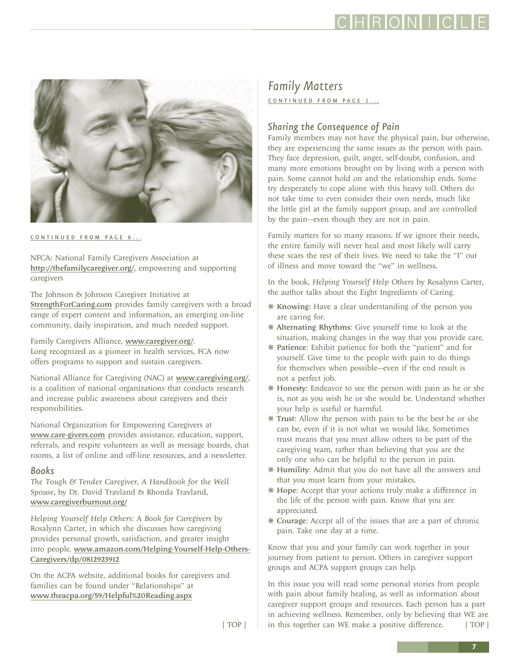### IRIOINI L

<span id="page-6-0"></span>

[CONTINUED FROM PAGE 6...](#page-5-0)

NFCA: National Family Caregivers Association at http://thefamilycaregiver.org/, empowering and supporting caregivers

The Johnson & Johnson Caregiver Initiative at [StrengthForCaring.com](www.strengthforcaring.com) provides family caregivers with a broad range of expert content and information, an emerging on-line community, daily inspiration, and much needed support.

Family Caregivers Alliance, www.caregiver.org/. Long recognized as a pioneer in health services, FCA now offers programs to support and sustain caregivers.

National Alliance for Caregiving (NAC) at www.caregiving.org/, is a coalition of national organizations that conducts research and increase public awareness about caregivers and their responsibilities.

National Organization for Empowering Caregivers at www.care-givers.com provides assistance, education, support, referrals, and respite volunteers as well as message boards, chat rooms, a list of online and off-line resources, and a newsletter.

#### *Books*

*The Tough & Tender Caregiver, A Handbook for the Well Spouse*, by Dr. David Travland & Rhonda Travland, www.caregiverburnout.org/

*Helping Yourself Help Others: A Book for Caregivers* by Rosalynn Carter, in which she discusses how caregiving provides personal growth, satisfaction, and greater insight into people. www.amazon.com/Helping-Yourself-Help-Others-Caregivers/dp/0812925912

On the ACPA website, additional books for caregivers and families can be found under "Relationships" at www.theacpa.org/59/Helpful%20Reading.aspx

### *Family Matters*

CONTINUED FROM PAGE 1...

#### *Sharing the Consequence of Pain*

Family members may not have the physical pain, but otherwise, they are experiencing the same issues as the person with pain. They face depression, guilt, anger, self-doubt, confusion, and many more emotions brought on by living with a person with pain. Some cannot hold on and the relationship ends. Some try desperately to cope alone with this heavy toll. Others do not take time to even consider their own needs, much like the little girl at the family support group, and are controlled by the pain—even though they are not in pain.

Family matters for so many reasons. If we ignore their needs, the entire family will never heal and most likely will carry these scars the rest of their lives. We need to take the "I" out of illness and move toward the "we" in wellness.

In the book, *Helping Yourself Help Others* by Rosalynn Carter, the author talks about the Eight Ingredients of Caring.

- ❋ Knowing: Have a clear understanding of the person you are caring for.
- ❋ Alternating Rhythms: Give yourself time to look at the situation, making changes in the way that you provide care.
- ❋ Patience: Exhibit patience for both the "patient" and for yourself. Give time to the people with pain to do things for themselves when possible—even if the end result is not a perfect job.
- ❋ Honesty: Endeavor to see the person with pain as he or she is, not as you wish he or she would be. Understand whether your help is useful or harmful.
- ❋ Trust: Allow the person with pain to be the best he or she can be, even if it is not what we would like. Sometimes trust means that you must allow others to be part of the caregiving team, rather than believing that you are the only one who can be helpful to the person in pain.
- ❋ Humility: Admit that you do not have all the answers and that you must learn from your mistakes.
- ❋ Hope: Accept that your actions truly make a difference in the life of the person with pain. Know that you are appreciated.
- ❋ Courage: Accept all of the issues that are a part of chronic pain. Take one day at a time.

Know that you and your family can work together in your journey from patient to person. Others in caregiver support groups and ACPA support groups can help.

In this issue you will read some personal stories from people with pain about family healing, as well as information about caregiver support groups and resources. Each person has a part in achieving wellness. Remember, only by believing that WE are [| TOP |](#page-0-0) | in this together can WE make a positive difference. | TOP |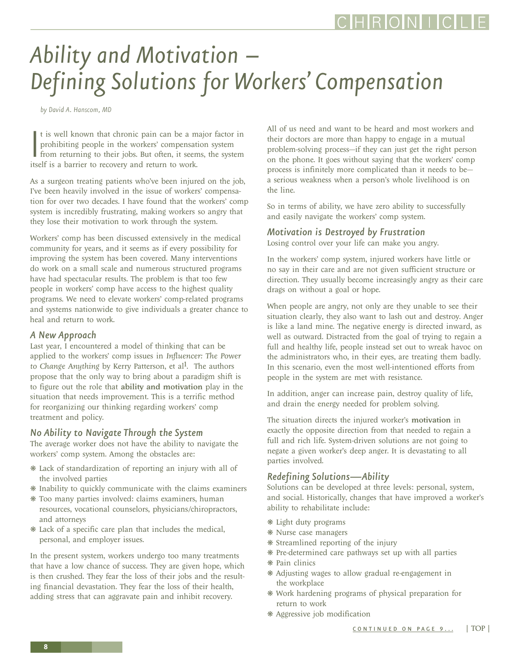## <span id="page-7-0"></span>*Ability and Motivation – Defining Solutions for Workers' Compensation*

*by David A. Hanscom, MD*

It is well known that chronic pain can be a man prohibiting people in the workers' compensation from returning to their jobs. But often, it seem itself is a barrier to recovery and return to work. t is well known that chronic pain can be a major factor in prohibiting people in the workers' compensation system from returning to their jobs. But often, it seems, the system

As a surgeon treating patients who've been injured on the job, I've been heavily involved in the issue of workers' compensation for over two decades. I have found that the workers' comp system is incredibly frustrating, making workers so angry that they lose their motivation to work through the system.

Workers' comp has been discussed extensively in the medical community for years, and it seems as if every possibility for improving the system has been covered. Many interventions do work on a small scale and numerous structured programs have had spectacular results. The problem is that too few people in workers' comp have access to the highest quality programs. We need to elevate workers' comp-related programs and systems nationwide to give individuals a greater chance to heal and return to work.

#### *A New Approach*

Last year, I encountered a model of thinking that can be applied to the workers' comp issues in *Influencer: The Power to Change Anything* by Kerry Patterson, et al<sup>1</sup>. The authors propose that the only way to bring about a paradigm shift is to figure out the role that ability and motivation play in the situation that needs improvement. This is a terrific method for reorganizing our thinking regarding workers' comp treatment and policy.

#### *No Ability to Navigate Through the System*

The average worker does not have the ability to navigate the workers' comp system. Among the obstacles are:

- ❋ Lack of standardization of reporting an injury with all of the involved parties
- ❋ Inability to quickly communicate with the claims examiners
- ❋ Too many parties involved: claims examiners, human resources, vocational counselors, physicians/chiropractors, and attorneys
- ❋ Lack of a specific care plan that includes the medical, personal, and employer issues.

In the present system, workers undergo too many treatments that have a low chance of success. They are given hope, which is then crushed. They fear the loss of their jobs and the resulting financial devastation. They fear the loss of their health, adding stress that can aggravate pain and inhibit recovery.

All of us need and want to be heard and most workers and their doctors are more than happy to engage in a mutual problem-solving process—if they can just get the right person on the phone. It goes without saying that the workers' comp process is infinitely more complicated than it needs to be a serious weakness when a person's whole livelihood is on the line.

So in terms of ability, we have zero ability to successfully and easily navigate the workers' comp system.

#### *Motivation is Destroyed by Frustration*

Losing control over your life can make you angry.

In the workers' comp system, injured workers have little or no say in their care and are not given sufficient structure or direction. They usually become increasingly angry as their care drags on without a goal or hope.

When people are angry, not only are they unable to see their situation clearly, they also want to lash out and destroy. Anger is like a land mine. The negative energy is directed inward, as well as outward. Distracted from the goal of trying to regain a full and healthy life, people instead set out to wreak havoc on the administrators who, in their eyes, are treating them badly. In this scenario, even the most well-intentioned efforts from people in the system are met with resistance.

In addition, anger can increase pain, destroy quality of life, and drain the energy needed for problem solving.

The situation directs the injured worker's motivation in exactly the opposite direction from that needed to regain a full and rich life. System-driven solutions are not going to negate a given worker's deep anger. It is devastating to all parties involved.

#### *Redefining Solutions—Ability*

Solutions can be developed at three levels: personal, system, and social. Historically, changes that have improved a worker's ability to rehabilitate include:

- ❋ Light duty programs
- ❋ Nurse case managers
- ❋ Streamlined reporting of the injury
- ❋ Pre-determined care pathways set up with all parties
- ❋ Pain clinics
- ❋ Adjusting wages to allow gradual re-engagement in the workplace
- ❋ Work hardening programs of physical preparation for return to work
- ❋ Aggressive job modification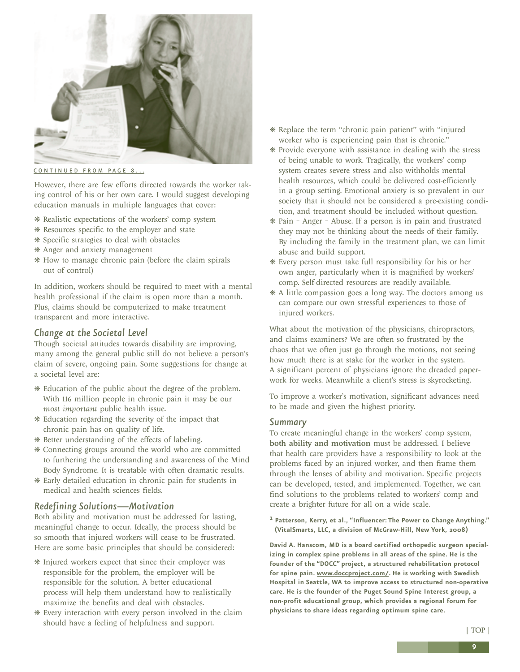<span id="page-8-0"></span>

[CONTINUED FROM PAGE 8...](#page-7-0)

However, there are few efforts directed towards the worker taking control of his or her own care. I would suggest developing education manuals in multiple languages that cover:

- ❋ Realistic expectations of the workers' comp system
- ❋ Resources specific to the employer and state
- ❋ Specific strategies to deal with obstacles
- ❋ Anger and anxiety management
- ❋ How to manage chronic pain (before the claim spirals out of control)

In addition, workers should be required to meet with a mental health professional if the claim is open more than a month. Plus, claims should be computerized to make treatment transparent and more interactive.

#### *Change at the Societal Level*

Though societal attitudes towards disability are improving, many among the general public still do not believe a person's claim of severe, ongoing pain. Some suggestions for change at a societal level are:

- ❋ Education of the public about the degree of the problem. With 116 million people in chronic pain it may be our *most important* public health issue.
- ❋ Education regarding the severity of the impact that chronic pain has on quality of life.
- ❋ Better understanding of the effects of labeling.
- ❋ Connecting groups around the world who are committed to furthering the understanding and awareness of the Mind Body Syndrome. It is treatable with often dramatic results.
- ❋ Early detailed education in chronic pain for students in medical and health sciences fields.

#### *Redefining Solutions—Motivation*

Both ability and motivation must be addressed for lasting, meaningful change to occur. Ideally, the process should be so smooth that injured workers will cease to be frustrated. Here are some basic principles that should be considered:

- ❋ Injured workers expect that since their employer was responsible for the problem, the employer will be responsible for the solution. A better educational process will help them understand how to realistically maximize the benefits and deal with obstacles.
- ❋ Every interaction with every person involved in the claim should have a feeling of helpfulness and support.
- ❋ Replace the term "chronic pain patient" with "injured worker who is experiencing pain that is chronic."
- ❋ Provide everyone with assistance in dealing with the stress of being unable to work. Tragically, the workers' comp system creates severe stress and also withholds mental health resources, which could be delivered cost-efficiently in a group setting. Emotional anxiety is so prevalent in our society that it should not be considered a pre-existing condition, and treatment should be included without question.
- ❋ Pain = Anger = Abuse. If a person is in pain and frustrated they may not be thinking about the needs of their family. By including the family in the treatment plan, we can limit abuse and build support.
- ❋ Every person must take full responsibility for his or her own anger, particularly when it is magnified by workers' comp. Self-directed resources are readily available.
- ❋ A little compassion goes a long way. The doctors among us can compare our own stressful experiences to those of injured workers.

What about the motivation of the physicians, chiropractors, and claims examiners? We are often so frustrated by the chaos that we often just go through the motions, not seeing how much there is at stake for the worker in the system. A significant percent of physicians ignore the dreaded paperwork for weeks. Meanwhile a client's stress is skyrocketing.

To improve a worker's motivation, significant advances need to be made and given the highest priority.

#### *Summary*

To create meaningful change in the workers' comp system, both ability and motivation must be addressed. I believe that health care providers have a responsibility to look at the problems faced by an injured worker, and then frame them through the lenses of ability and motivation. Specific projects can be developed, tested, and implemented. Together, we can find solutions to the problems related to workers' comp and create a brighter future for all on a wide scale.

**1 Patterson, Kerry, et al., "Influencer: The Power to Change Anything." (VitalSmarts, LLC, a division of McGraw-Hill, New York, 2008)**

**David A. Hanscom, MD is a board certified orthopedic surgeon specializing in complex spine problems in all areas of the spine. He is the founder of the "DOCC" project, a structured rehabilitation protocol for spine pain. www.doccproject.com/. He is working with Swedish Hospital in Seattle, WA to improve access to structured non-operative care. He is the founder of the Puget Sound Spine Interest group, a non-profit educational group, which provides a regional forum for physicians to share ideas regarding optimum spine care.**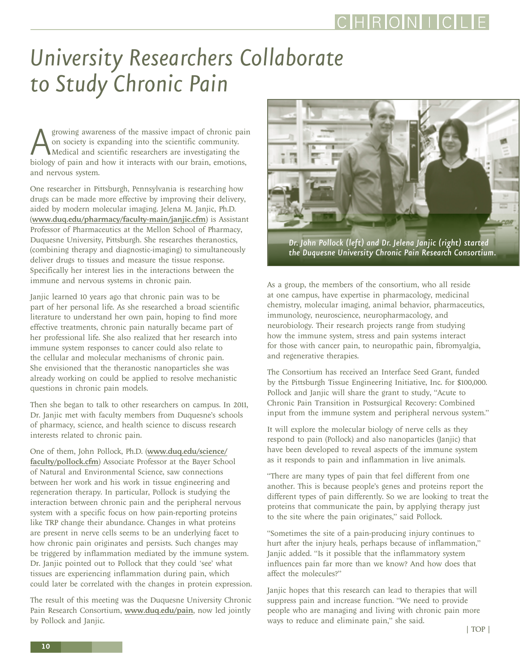## <span id="page-9-0"></span>*University Researchers Collaborate to Study Chronic Pain*

Agrowing awareness of the massive impact of chronic pain on society is expanding into the scientific community.<br>
Medical and scientific researchers are investigating the biology of pain and how it interacts with our brain, on society is expanding into the scientific community. Medical and scientific researchers are investigating the and nervous system.

One researcher in Pittsburgh, Pennsylvania is researching how drugs can be made more effective by improving their delivery, aided by modern molecular imaging. Jelena M. Janjic, Ph.D. (www.duq.edu/pharmacy/faculty-main/janjic.cfm) is Assistant Professor of Pharmaceutics at the Mellon School of Pharmacy, Duquesne University, Pittsburgh. She researches theranostics, (combining therapy and diagnostic-imaging) to simultaneously deliver drugs to tissues and measure the tissue response. Specifically her interest lies in the interactions between the immune and nervous systems in chronic pain.

Janjic learned 10 years ago that chronic pain was to be part of her personal life. As she researched a broad scientific literature to understand her own pain, hoping to find more effective treatments, chronic pain naturally became part of her professional life. She also realized that her research into immune system responses to cancer could also relate to the cellular and molecular mechanisms of chronic pain. She envisioned that the theranostic nanoparticles she was already working on could be applied to resolve mechanistic questions in chronic pain models.

Then she began to talk to other researchers on campus. In 2011, Dr. Janjic met with faculty members from Duquesne's schools of pharmacy, science, and health science to discuss research interests related to chronic pain.

One of them, John Pollock, Ph.D. (www.duq.edu/science/ faculty/pollock.cfm) Associate Professor at the Bayer School of Natural and Environmental Science, saw connections between her work and his work in tissue engineering and regeneration therapy. In particular, Pollock is studying the interaction between chronic pain and the peripheral nervous system with a specific focus on how pain-reporting proteins like TRP change their abundance. Changes in what proteins are present in nerve cells seems to be an underlying facet to how chronic pain originates and persists. Such changes may be triggered by inflammation mediated by the immune system. Dr. Janjic pointed out to Pollock that they could 'see' what tissues are experiencing inflammation during pain, which could later be correlated with the changes in protein expression.

The result of this meeting was the Duquesne University Chronic Pain Research Consortium, www.duq.edu/pain, now led jointly by Pollock and Janjic.



*Dr. John Pollock (left) and Dr. Jelena Janjic (right) started the Duquesne University Chronic Pain Research Consortium.*

As a group, the members of the consortium, who all reside at one campus, have expertise in pharmacology, medicinal chemistry, molecular imaging, animal behavior, pharmaceutics, immunology, neuroscience, neuropharmacology, and neurobiology. Their research projects range from studying how the immune system, stress and pain systems interact for those with cancer pain, to neuropathic pain, fibromyalgia, and regenerative therapies.

The Consortium has received an Interface Seed Grant, funded by the Pittsburgh Tissue Engineering Initiative, Inc. for \$100,000. Pollock and Janjic will share the grant to study, "Acute to Chronic Pain Transition in Postsurgical Recovery: Combined input from the immune system and peripheral nervous system."

It will explore the molecular biology of nerve cells as they respond to pain (Pollock) and also nanoparticles (Janjic) that have been developed to reveal aspects of the immune system as it responds to pain and inflammation in live animals.

"There are many types of pain that feel different from one another. This is because people's genes and proteins report the different types of pain differently. So we are looking to treat the proteins that communicate the pain, by applying therapy just to the site where the pain originates," said Pollock.

"Sometimes the site of a pain-producing injury continues to hurt after the injury heals, perhaps because of inflammation," Janjic added. "Is it possible that the inflammatory system influences pain far more than we know? And how does that affect the molecules?"

Janjic hopes that this research can lead to therapies that will suppress pain and increase function. "We need to provide people who are managing and living with chronic pain more ways to reduce and eliminate pain," she said.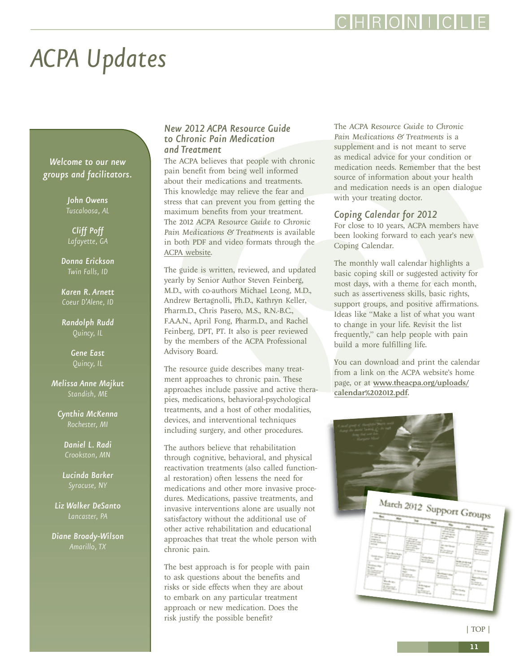# <span id="page-10-0"></span>*ACPA Updates*

*Welcome to our new groups and facilitators.*

*John Owens*

*Cliff Poff Lafayette, GA* 

*Donna Erickson Twin Falls, ID*

*Karen R. Arnett Coeur D'Alene, ID*

*Randolph Rudd Quincy, IL*

> *Gene East Quincy, IL*

*Melissa Anne Majkut Standish, ME*

*Cynthia McKenna Rochester, MI*

> *Daniel L. Radi Crookston, MN*

*Lucinda Barker* 

*Liz Walker DeSanto Lancaster, PA*

*Diane Broady-Wilson*

#### *New 2012 ACPA Resource Guide to Chronic Pain Medication and Treatment*

The ACPA believes that people with chronic pain benefit from being well informed about their medications and treatments. This knowledge may relieve the fear and stress that can prevent you from getting the maximum benefits from your treatment. The 2012 *ACPA Resource Guide to Chronic Pain Medications & Treatments* is available in both PDF and video formats through the [ACPA website.](http://www.theacpa.org/16/ResourceGuidetoPainMedicationsandTreatment.aspx)

The guide is written, reviewed, and updated yearly by Senior Author Steven Feinberg, M.D., with co-authors Michael Leong, M.D., Andrew Bertagnolli, Ph.D., Kathryn Keller, Pharm.D., Chris Pasero, M.S., R.N.-B.C., F.A.A.N., April Fong, Pharm.D., and Rachel Feinberg, DPT, PT. It also is peer reviewed by the members of the ACPA Professional Advisory Board.

The resource guide describes many treatment approaches to chronic pain. These approaches include passive and active therapies, medications, behavioral-psychological treatments, and a host of other modalities, devices, and interventional techniques including surgery, and other procedures.

The authors believe that rehabilitation through cognitive, behavioral, and physical reactivation treatments (also called functional restoration) often lessens the need for medications and other more invasive procedures. Medications, passive treatments, and invasive interventions alone are usually not satisfactory without the additional use of other active rehabilitation and educational approaches that treat the whole person with chronic pain.

The best approach is for people with pain to ask questions about the benefits and risks or side effects when they are about to embark on any particular treatment approach or new medication. Does the risk justify the possible benefit?

The *ACPA Resource Guide to Chronic Pain Medications & Treatments* is a supplement and is not meant to serve as medical advice for your condition or medication needs. Remember that the best source of information about your health and medication needs is an open dialogue with your treating doctor.

#### *Coping Calendar for 2012*

For close to 10 years, ACPA members have been looking forward to each year's new Coping Calendar.

The monthly wall calendar highlights a basic coping skill or suggested activity for most days, with a theme for each month, such as assertiveness skills, basic rights, support groups, and positive affirmations. Ideas like "Make a list of what you want to change in your life. Revisit the list frequently," can help people with pain build a more fulfilling life.

You can download and print the calendar from a link on the ACPA website's home page, or at [www.theacpa.org/uploads/](www.theacpa.org/uploads/calendar%202012.pdf) [calendar%202012.pdf.](www.theacpa.org/uploads/calendar%202012.pdf)



[| TOP |](#page-0-0)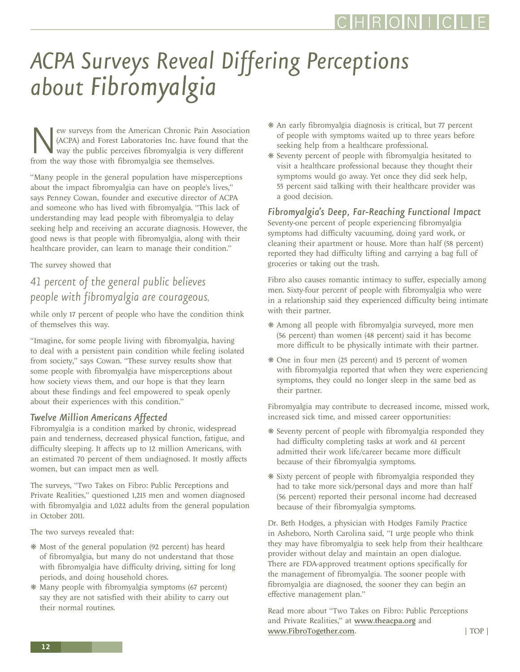# <span id="page-11-0"></span>*ACPA Surveys Reveal Differing Perceptions about Fibromyalgia*

ew surveys from the American Chronic Pain Association (ACPA) and Forest Laboratories Inc. have found that the way the public perceives fibromyalgia is very different from the way those with fibromyalgia see themselves.

"Many people in the general population have misperceptions about the impact fibromyalgia can have on people's lives," says Penney Cowan, founder and executive director of ACPA and someone who has lived with fibromyalgia. "This lack of understanding may lead people with fibromyalgia to delay seeking help and receiving an accurate diagnosis. However, the good news is that people with fibromyalgia, along with their healthcare provider, can learn to manage their condition."

The survey showed that

### *41 percent of the general public believes people with fibromyalgia are courageous*,

while only 17 percent of people who have the condition think of themselves this way.

"Imagine, for some people living with fibromyalgia, having to deal with a persistent pain condition while feeling isolated from society," says Cowan. "These survey results show that some people with fibromyalgia have misperceptions about how society views them, and our hope is that they learn about these findings and feel empowered to speak openly about their experiences with this condition."

#### *Twelve Million Americans Affected*

Fibromyalgia is a condition marked by chronic, widespread pain and tenderness, decreased physical function, fatigue, and difficulty sleeping. It affects up to 12 million Americans, with an estimated 70 percent of them undiagnosed. It mostly affects women, but can impact men as well.

The surveys, "Two Takes on Fibro: Public Perceptions and Private Realities," questioned 1,215 men and women diagnosed with fibromyalgia and 1,022 adults from the general population in October 2011.

The two surveys revealed that:

- ❋ Most of the general population (92 percent) has heard of fibromyalgia, but many do not understand that those with fibromyalgia have difficulty driving, sitting for long periods, and doing household chores.
- ❋ Many people with fibromyalgia symptoms (67 percent) say they are not satisfied with their ability to carry out their normal routines.
- ❋ An early fibromyalgia diagnosis is critical, but 77 percent of people with symptoms waited up to three years before seeking help from a healthcare professional.
- ❋ Seventy percent of people with fibromyalgia hesitated to visit a healthcare professional because they thought their symptoms would go away. Yet once they did seek help, 55 percent said talking with their healthcare provider was a good decision.

#### *Fibromyalgia's Deep, Far-Reaching Functional Impact*

Seventy-one percent of people experiencing fibromyalgia symptoms had difficulty vacuuming, doing yard work, or cleaning their apartment or house. More than half (58 percent) reported they had difficulty lifting and carrying a bag full of groceries or taking out the trash.

Fibro also causes romantic intimacy to suffer, especially among men. Sixty-four percent of people with fibromyalgia who were in a relationship said they experienced difficulty being intimate with their partner.

- ❋ Among all people with fibromyalgia surveyed, more men (56 percent) than women (48 percent) said it has become more difficult to be physically intimate with their partner.
- ❋ One in four men (25 percent) and 15 percent of women with fibromyalgia reported that when they were experiencing symptoms, they could no longer sleep in the same bed as their partner.

Fibromyalgia may contribute to decreased income, missed work, increased sick time, and missed career opportunities:

- ❋ Seventy percent of people with fibromyalgia responded they had difficulty completing tasks at work and 61 percent admitted their work life/career became more difficult because of their fibromyalgia symptoms.
- ❋ Sixty percent of people with fibromyalgia responded they had to take more sick/personal days and more than half (56 percent) reported their personal income had decreased because of their fibromyalgia symptoms.

Dr. Beth Hodges, a physician with Hodges Family Practice in Asheboro, North Carolina said, "I urge people who think they may have fibromyalgia to seek help from their healthcare provider without delay and maintain an open dialogue. There are FDA-approved treatment options specifically for the management of fibromyalgia. The sooner people with fibromyalgia are diagnosed, the sooner they can begin an effective management plan."

Read more about "Two Takes on Fibro: Public Perceptions and Private Realities," at www.theacpa.org and www.FibroTogether.com. [| TOP |](#page-0-0)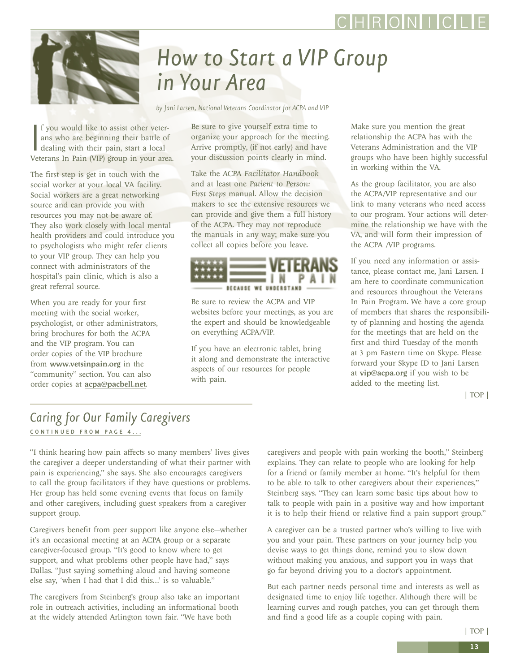## RONI I

<span id="page-12-0"></span>

## *How to Start a VIP Group in Your Area*

*by Jani Larsen, National Veterans Coordinator for ACPA and VIP*

If you would like to assist other veter-<br>ans who are beginning their battle of<br>dealing with their pain, start a local<br>Veterans In Pain (VIP) group in your area. f you would like to assist other veterans who are beginning their battle of dealing with their pain, start a local

The first step is get in touch with the social worker at your local VA facility. Social workers are a great networking source and can provide you with resources you may not be aware of. They also work closely with local mental health providers and could introduce you to psychologists who might refer clients to your VIP group. They can help you connect with administrators of the hospital's pain clinic, which is also a great referral source.

l source.<br>re ready fo:<br>h the social meeting with the social worker, When you are ready for your first psychologist, or other administrators, bring brochures for both the ACPA and the VIP program. You can order copies of the VIP brochure from www.vetsinpain.org in the "community" section. You can also order copies at acpa@pacbell.net.

Be sure to give yourself extra time to organize your approach for the meeting. Arrive promptly, (if not early) and have your discussion points clearly in mind.

Take the *ACPA Facilitator Handbook* and at least one *Patient to Person: First Steps* manual. Allow the decision makers to see the extensive resources we can provide and give them a full history of the ACPA. They may not reproduce the manuals in any way; make sure you collect all copies before you leave.



Be sure to review the ACPA and VIP websites before your meetings, as you are the expert and should be knowledgeable on everything ACPA/VIP.

If you have an electronic tablet, bring it along and demonstrate the interactive aspects of our resources for people with pain.

Make sure you mention the great relationship the ACPA has with the Veterans Administration and the VIP groups who have been highly successful in working within the VA.

As the group facilitator, you are also the ACPA/VIP representative and our link to many veterans who need access to our program. Your actions will determine the relationship we have with the VA, and will form their impression of the ACPA /VIP programs.

If you need any information or assistance, please contact me, Jani Larsen. I am here to coordinate communication and resources throughout the Veterans In Pain Program. We have a core group of members that shares the responsibility of planning and hosting the agenda for the meetings that are held on the first and third Tuesday of the month at 3 pm Eastern time on Skype. Please forward your Skype ID to Jani Larsen at vip@acpa.org if you wish to be added to the meeting list.

[| TOP |](#page-0-0)

### *Caring for Our Family Caregivers*  [CONTINUED FROM PAGE 4 ...](#page-3-0)

"I think hearing how pain affects so many members' lives gives the caregiver a deeper understanding of what their partner with pain is experiencing," she says. She also encourages caregivers to call the group facilitators if they have questions or problems. Her group has held some evening events that focus on family and other caregivers, including guest speakers from a caregiver support group.

Caregivers benefit from peer support like anyone else—whether it's an occasional meeting at an ACPA group or a separate caregiver-focused group. "It's good to know where to get support, and what problems other people have had," says Dallas. "Just saying something aloud and having someone else say, 'when I had that I did this…' is so valuable."

The caregivers from Steinberg's group also take an important role in outreach activities, including an informational booth at the widely attended Arlington town fair. "We have both

caregivers and people with pain working the booth," Steinberg explains. They can relate to people who are looking for help for a friend or family member at home. "It's helpful for them to be able to talk to other caregivers about their experiences," Steinberg says. "They can learn some basic tips about how to talk to people with pain in a positive way and how important it is to help their friend or relative find a pain support group."

A caregiver can be a trusted partner who's willing to live with you and your pain. These partners on your journey help you devise ways to get things done, remind you to slow down without making you anxious, and support you in ways that go far beyond driving you to a doctor's appointment.

But each partner needs personal time and interests as well as designated time to enjoy life together. Although there will be learning curves and rough patches, you can get through them and find a good life as a couple coping with pain.